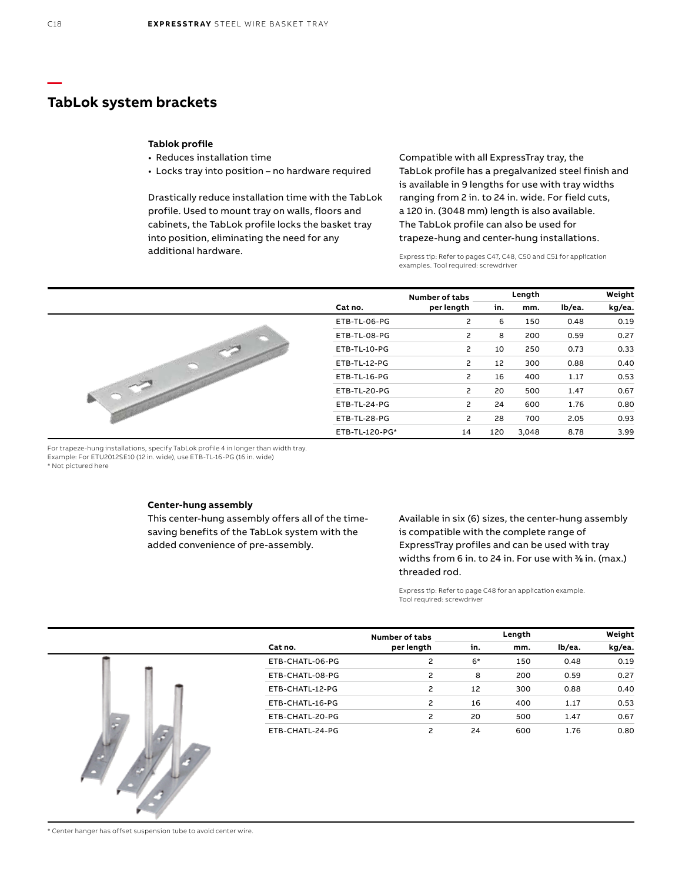### **TabLok system brackets**

#### **Tablok profile**

- Reduces installation time
- Locks tray into position no hardware required

Drastically reduce installation time with the TabLok profile. Used to mount tray on walls, floors and cabinets, the TabLok profile locks the basket tray into position, eliminating the need for any additional hardware.

Compatible with all ExpressTray tray, the TabLok profile has a pregalvanized steel finish and is available in 9 lengths for use with tray widths ranging from 2 in. to 24 in. wide. For field cuts, a 120 in. (3048 mm) length is also available. The TabLok profile can also be used for trapeze-hung and center-hung installations.

Express tip: Refer to pages C47, C48, C50 and C51 for application examples. Tool required: screwdriver



For trapeze-hung installations, specify TabLok profile 4 in longer than width tray. Example: For ETU2012SE10 (12 in. wide), use ETB-TL-16-PG (16 in. wide) \* Not pictured here

#### **Center-hung assembly**

This center-hung assembly offers all of the timesaving benefits of the TabLok system with the added convenience of pre-assembly.

Available in six (6) sizes, the center-hung assembly is compatible with the complete range of ExpressTray profiles and can be used with tray widths from 6 in. to 24 in. For use with <sup>3</sup> ⁄8 in. (max.) threaded rod.

Express tip: Refer to page C48 for an application example. Tool required: screwdriver

|   |                 | Number of tabs |      | Length |        | Weight |
|---|-----------------|----------------|------|--------|--------|--------|
|   | Cat no.         | per length     | in.  | mm.    | lb/ea. | kg/ea. |
|   | ETB-CHATL-06-PG | 2              | $6*$ | 150    | 0.48   | 0.19   |
|   | ETB-CHATL-08-PG | 2              | 8    | 200    | 0.59   | 0.27   |
|   | ETB-CHATL-12-PG | 2              | 12   | 300    | 0.88   | 0.40   |
|   | ETB-CHATL-16-PG | 2              | 16   | 400    | 1.17   | 0.53   |
| G | ETB-CHATL-20-PG | 2              | 20   | 500    | 1.47   | 0.67   |
|   | ETB-CHATL-24-PG | 2              | 24   | 600    | 1.76   | 0.80   |

\* Center hanger has offset suspension tube to avoid center wire.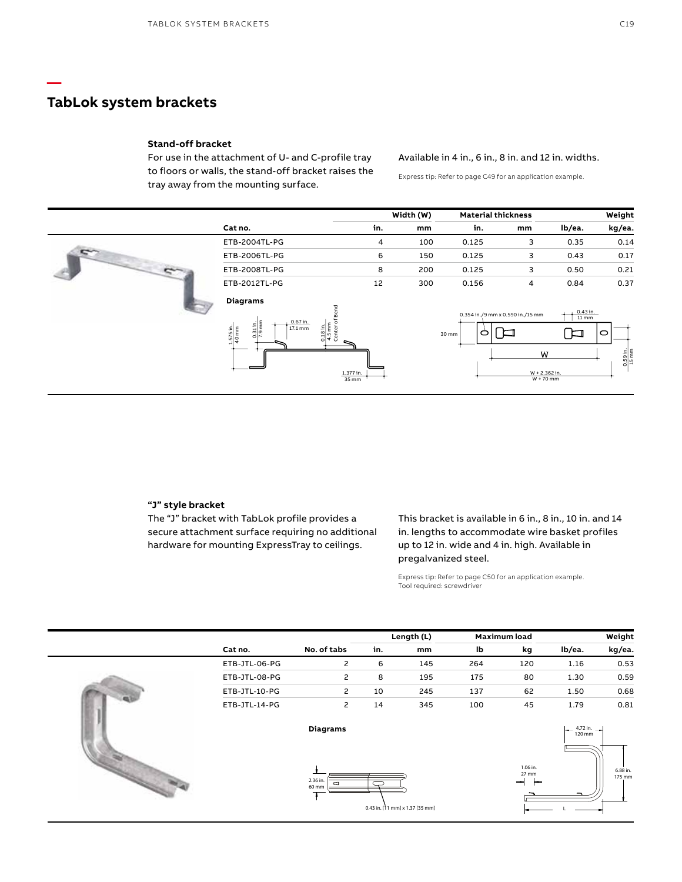## **TabLok system brackets**

**—**

#### **Stand-off bracket**

For use in the attachment of U- and C-profile tray to floors or walls, the stand-off bracket raises the tray away from the mounting surface.

### Available in 4 in., 6 in., 8 in. and 12 in. widths.

Express tip: Refer to page C49 for an application example.

|                                                                                                                                                              |                           | Width (W) |            | <b>Material thickness</b>        |                                                                            | Weight                                        |
|--------------------------------------------------------------------------------------------------------------------------------------------------------------|---------------------------|-----------|------------|----------------------------------|----------------------------------------------------------------------------|-----------------------------------------------|
| Cat no.                                                                                                                                                      | in.                       | mm        | in.        | mm                               | lb/ea.                                                                     | kg/ea.                                        |
| ETB-2004TL-PG                                                                                                                                                | 4                         | 100       | 0.125      | 3                                | 0.35                                                                       | 0.14                                          |
| ETB-2006TL-PG                                                                                                                                                | 6                         | 150       | 0.125      | 3                                | 0.43                                                                       | 0.17                                          |
| ETB-2008TL-PG                                                                                                                                                | 8                         | 200       | 0.125      | 3                                | 0.50                                                                       | 0.21                                          |
| ETB-2012TL-PG                                                                                                                                                | 12                        | 300       | 0.156      | 4                                | 0.84                                                                       | 0.37                                          |
| <b>Diagrams</b><br>0.67 in.<br>$\frac{0.31 \text{ in.}}{7.9 \text{ mm}}$<br>$\frac{18 \text{ in.}}{5 \text{ mm}}$<br>$17.1 \text{ mm}$<br>1.575 in.<br>40 mm | end<br>1.377 in.<br>35 mm |           | 0<br>30 mm | 0.354 in./9 mm x 0.590 in./15 mm | $0.43$ in.<br>$11 \, \text{mm}$<br>▏◘<br>W<br>W + 2.362 in.<br>$W + 70$ mm | ○<br>$\frac{0.59 \text{ in.}}{15 \text{ mm}}$ |

#### **"J" style bracket**

The "J" bracket with TabLok profile provides a secure attachment surface requiring no additional hardware for mounting ExpressTray to ceilings.

This bracket is available in 6 in., 8 in., 10 in. and 14 in. lengths to accommodate wire basket profiles up to 12 in. wide and 4 in. high. Available in pregalvanized steel.

Express tip: Refer to page C50 for an application example. Tool required: screwdriver

|               |                        |     |     |            |                        |                     | Weight             |
|---------------|------------------------|-----|-----|------------|------------------------|---------------------|--------------------|
| Cat no.       | No. of tabs            | in. | mm  | lb         | kg                     | lb/ea.              | kg/ea.             |
| ETB-JTL-06-PG | 2                      | 6   | 145 | 264        | 120                    | 1.16                | 0.53               |
| ETB-JTL-08-PG | 2                      | 8   | 195 | 175        | 80                     | 1.30                | 0.59               |
| ETB-JTL-10-PG | $\mathsf{S}$           | 10  | 245 | 137        | 62                     | 1.50                | 0.68               |
| ETB-JTL-14-PG | $\mathsf{S}$           | 14  | 345 | 100        | 45                     | 1.79                | 0.81               |
|               | <b>Diagrams</b>        |     |     |            |                        | 120 mm              |                    |
|               | 2.36 in.<br>c<br>60 mm |     |     |            | 1.06 in.<br>27 mm<br>ᆋ |                     | 6.88 in.<br>175 mm |
|               |                        |     |     | Length (L) |                        | <b>Maximum load</b> | 4.72 in. $\qquad$  |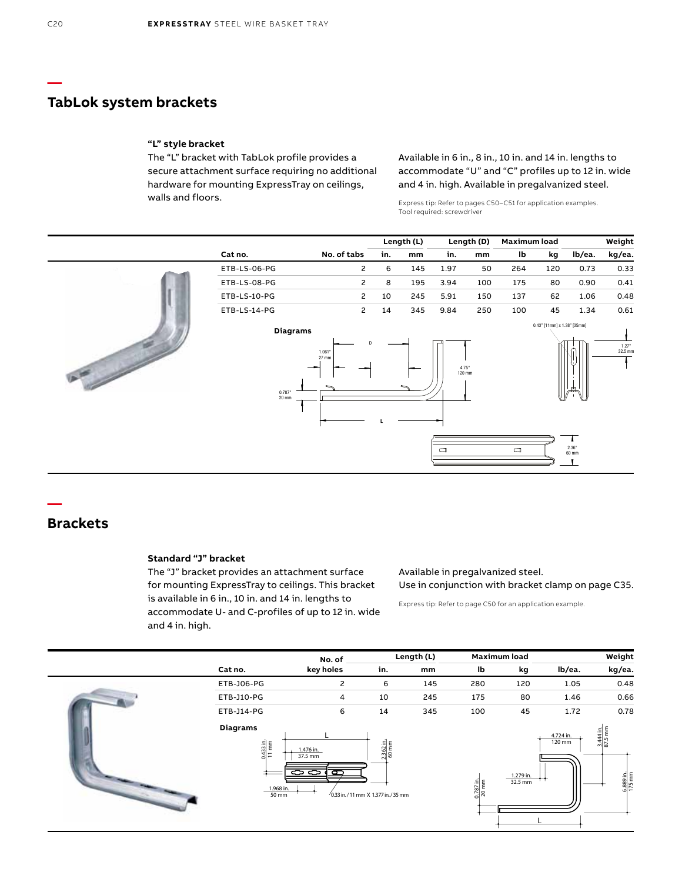## **TabLok system brackets**

#### **"L" style bracket**

The "L" bracket with TabLok profile provides a secure attachment surface requiring no additional hardware for mounting ExpressTray on ceilings, walls and floors.

Available in 6 in., 8 in., 10 in. and 14 in. lengths to accommodate "U" and "C" profiles up to 12 in. wide and 4 in. high. Available in pregalvanized steel.

Express tip: Refer to pages C50–C51 for application examples. Tool required: screwdriver

|                   |                                                       |                  |     | Length (L) |                 | Length (D) | Maximum load |                             |                              | Weight          |
|-------------------|-------------------------------------------------------|------------------|-----|------------|-----------------|------------|--------------|-----------------------------|------------------------------|-----------------|
|                   | Cat no.                                               | No. of tabs      | in. | mm         | in.             | mm         | lb           | kg                          | lb/ea.                       | kg/ea.          |
|                   | ETB-LS-06-PG                                          | 2                | 6   | 145        | 1.97            | 50         | 264          | 120                         | 0.73                         | 0.33            |
|                   | ETB-LS-08-PG                                          | 2                | 8   | 195        | 3.94            | 100        | 175          | 80                          | 0.90                         | 0.41            |
|                   | ETB-LS-10-PG                                          | 2                | 10  | 245        | 5.91            | 150        | 137          | 62                          | 1.06                         | 0.48            |
|                   | ETB-LS-14-PG                                          | $\mathsf{S}$     | 14  | 345        | 9.84            | 250        | 100          | 45                          | 1.34                         | 0.61            |
| $\mathbb{R}^{2n}$ | <b>Diagrams</b><br>--<br>$0.787$ "<br>$20 \text{ mm}$ | 1.061<br>$27$ mm |     |            | 4.75"<br>120 mm |            |              | 0.43" [11mm] x 1.38" [35mm] | 墨                            | 1.27<br>32.5 mm |
|                   |                                                       |                  |     |            | $\Box$          |            | $\Box$       |                             | T<br>$2.36^{\circ}$<br>60 mm |                 |

# **Brackets**

**—**

### **Standard "J" bracket**

The "J" bracket provides an attachment surface for mounting ExpressTray to ceilings. This bracket is available in 6 in., 10 in. and 14 in. lengths to accommodate U- and C-profiles of up to 12 in. wide and 4 in. high.

### Available in pregalvanized steel. Use in conjunction with bracket clamp on page C35.

Express tip: Refer to page C50 for an application example.

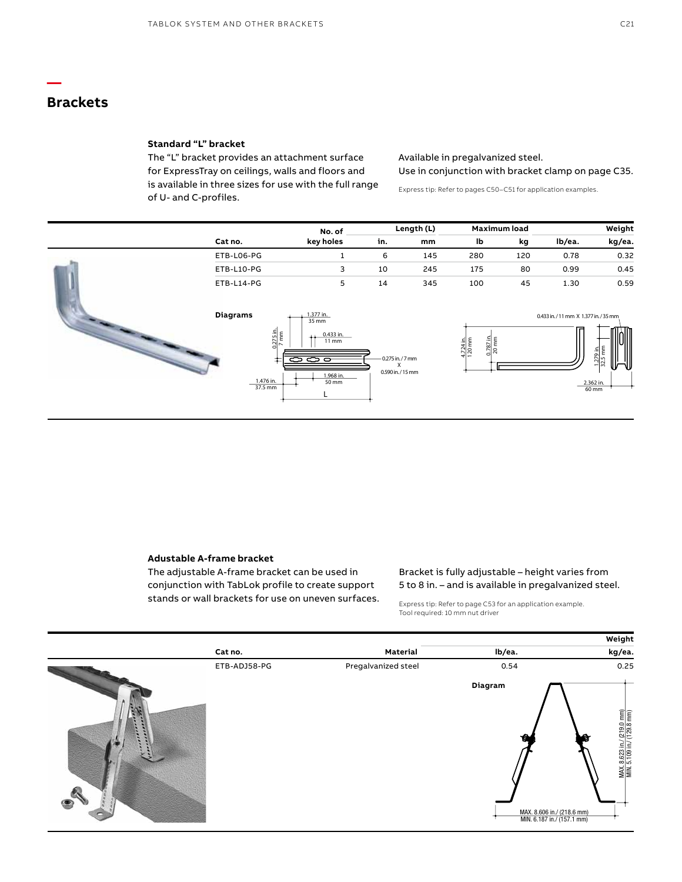# **Brackets**

**—**

#### **Standard "L" bracket**

The "L" bracket provides an attachment surface for ExpressTray on ceilings, walls and floors and is available in three sizes for use with the full range of U- and C-profiles.

Available in pregalvanized steel. Use in conjunction with bracket clamp on page C35.

Express tip: Refer to pages C50–C51 for application examples.

|                                                                                     | No. of                                                                              |                                        | Length (L) | <b>Maximum load</b>                                         |     |                                   | Weight                                            |
|-------------------------------------------------------------------------------------|-------------------------------------------------------------------------------------|----------------------------------------|------------|-------------------------------------------------------------|-----|-----------------------------------|---------------------------------------------------|
| Cat no.                                                                             | key holes                                                                           | in.                                    | mm         | lb                                                          | kg  | lb/ea.                            | kg/ea.                                            |
| ETB-L06-PG                                                                          | Ŧ.                                                                                  | 6                                      | 145        | 280                                                         | 120 | 0.78                              | 0.32                                              |
| ETB-L10-PG                                                                          | 3                                                                                   | 10                                     | 245        | 175                                                         | 80  | 0.99                              | 0.45                                              |
| ETB-L14-PG                                                                          | 5                                                                                   | 14                                     | 345        | 100                                                         | 45  | 1.30                              | 0.59                                              |
| <b>Diagrams</b><br>$\frac{0.275 \text{ in.}}{7 \text{ mm}}$<br>1.476 in.<br>37.5 mm | 1.377 in.<br>$35$ mm<br>0.433 in.<br>$11 \, \text{mm}$<br>ಕಕಾ<br>1.968 in.<br>50 mm | 0.275 in./7 mm<br>x<br>0.590 in./15 mm |            | $\frac{4.724 \text{ in.}}{120 \text{ mm}}$<br>0.787<br>20 m |     | 0.433 in./11 mm X 1.377 in./35 mm | 1.279 in.<br>32.5 mm<br>⋓<br>2.362 in.<br>$60$ mm |

#### **Adustable A-frame bracket**

The adjustable A-frame bracket can be used in conjunction with TabLok profile to create support stands or wall brackets for use on uneven surfaces.

### Bracket is fully adjustable – height varies from 5 to 8 in. – and is available in pregalvanized steel.

Express tip: Refer to page C53 for an application example. Tool required: 10 mm nut driver

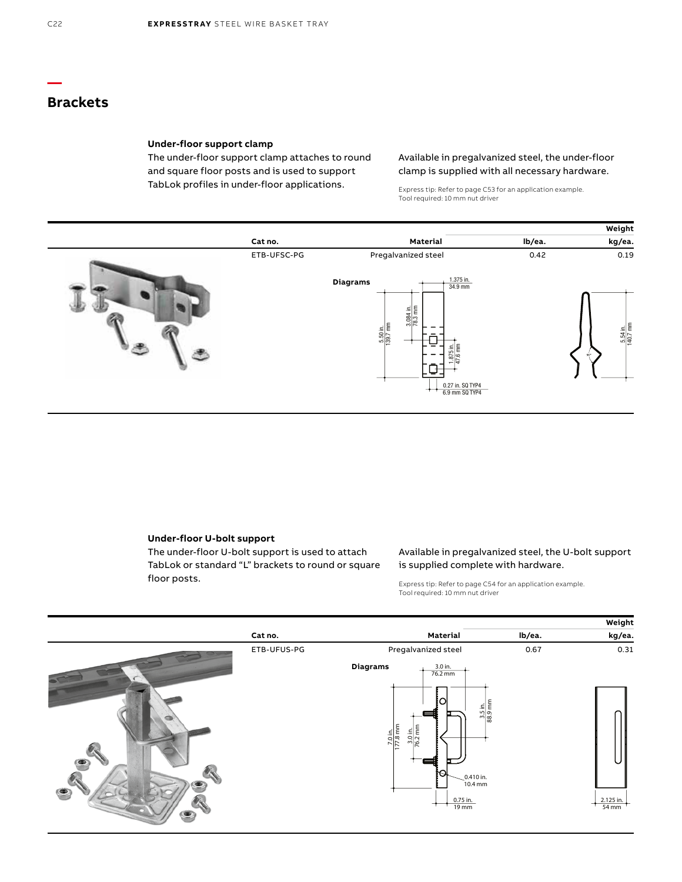# **Brackets**

#### **Under-floor support clamp**

The under-floor support clamp attaches to round and square floor posts and is used to support TabLok profiles in under-floor applications.

### Available in pregalvanized steel, the under-floor clamp is supplied with all necessary hardware.

Express tip: Refer to page C53 for an application example. Tool required: 10 mm nut driver



### **Under-floor U-bolt support**

The under-floor U-bolt support is used to attach TabLok or standard "L" brackets to round or square floor posts.

### Available in pregalvanized steel, the U-bolt support is supplied complete with hardware.

Express tip: Refer to page C54 for an application example. Tool required: 10 mm nut driver

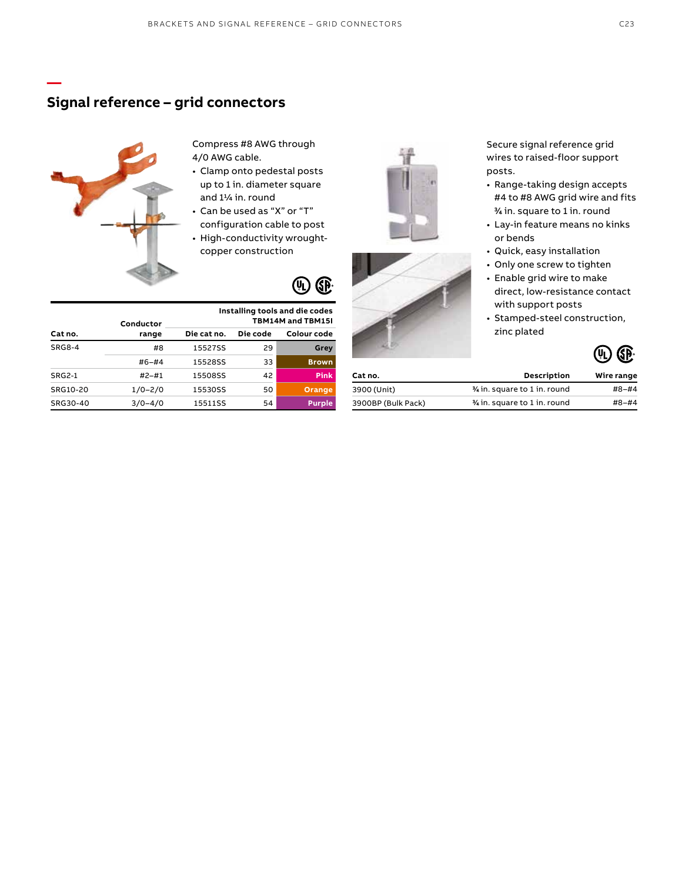## **Signal reference – grid connectors**



**—**

**Conductor**

Compress #8 AWG through 4/0 AWG cable.

- Clamp onto pedestal posts up to 1 in. diameter square and 11/4 in. round
- Can be used as "X" or "T" configuration cable to post
- High-conductivity wroughtcopper construction



**Installing tools and die codes TBM14M and TBM15I**

|               | conquetor   |             |          |               |
|---------------|-------------|-------------|----------|---------------|
| Cat no.       | range       | Die cat no. | Die code | Colour code   |
| <b>SRG8-4</b> | #8          | 15527SS     | 29       | Grey          |
|               | $#6 - #4$   | 15528SS     | 33       | <b>Brown</b>  |
| <b>SRG2-1</b> | $#2 - #1$   | 15508SS     | 42       | <b>Pink</b>   |
| SRG10-20      | $1/0 - 2/0$ | 15530SS     | 50       | Orange        |
| SRG30-40      | $3/0 - 4/0$ | 15511SS     | 54       | <b>Purple</b> |





Secure signal reference grid wires to raised-floor support posts.

- Range-taking design accepts #4 to #8 AWG grid wire and fits 3 ⁄4 in. square to 1 in. round
- Lay-in feature means no kinks or bends
- Quick, easy installation
- Only one screw to tighten
- Enable grid wire to make direct, low-resistance contact with support posts
- Stamped-steel construction, zinc plated



| Cat no.            | <b>Description</b>            | Wire range |  |
|--------------------|-------------------------------|------------|--|
| 3900 (Unit)        | 3/4 in. square to 1 in. round | #8–#4      |  |
| 3900BP (Bulk Pack) | % in. square to 1 in. round   | #8-#4      |  |